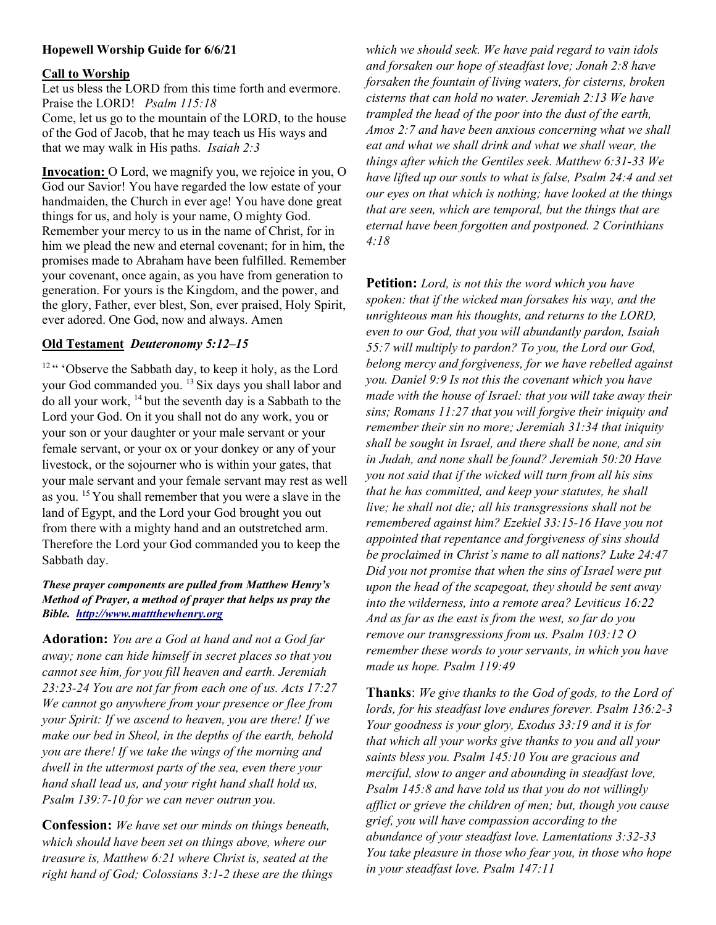# Hopewell Worship Guide for 6/6/21

#### Call to Worship

Let us bless the LORD from this time forth and evermore. Praise the LORD! Psalm 115:18 Come, let us go to the mountain of the LORD, to the house of the God of Jacob, that he may teach us His ways and that we may walk in His paths. Isaiah 2:3

Invocation: O Lord, we magnify you, we rejoice in you, O God our Savior! You have regarded the low estate of your handmaiden, the Church in ever age! You have done great things for us, and holy is your name, O mighty God. Remember your mercy to us in the name of Christ, for in him we plead the new and eternal covenant; for in him, the promises made to Abraham have been fulfilled. Remember your covenant, once again, as you have from generation to generation. For yours is the Kingdom, and the power, and the glory, Father, ever blest, Son, ever praised, Holy Spirit, ever adored. One God, now and always. Amen

## Old Testament Deuteronomy 5:12–15

<sup>12</sup> " 'Observe the Sabbath day, to keep it holy, as the Lord your God commanded you. <sup>13</sup> Six days you shall labor and do all your work, <sup>14</sup>but the seventh day is a Sabbath to the Lord your God. On it you shall not do any work, you or your son or your daughter or your male servant or your female servant, or your ox or your donkey or any of your livestock, or the sojourner who is within your gates, that your male servant and your female servant may rest as well as you. <sup>15</sup>You shall remember that you were a slave in the land of Egypt, and the Lord your God brought you out from there with a mighty hand and an outstretched arm. Therefore the Lord your God commanded you to keep the Sabbath day.

# These prayer components are pulled from Matthew Henry's Method of Prayer, a method of prayer that helps us pray the Bible. http://www.mattthewhenry.org

Adoration: You are a God at hand and not a God far away; none can hide himself in secret places so that you cannot see him, for you fill heaven and earth. Jeremiah 23:23-24 You are not far from each one of us. Acts 17:27 We cannot go anywhere from your presence or flee from your Spirit: If we ascend to heaven, you are there! If we make our bed in Sheol, in the depths of the earth, behold you are there! If we take the wings of the morning and dwell in the uttermost parts of the sea, even there your hand shall lead us, and your right hand shall hold us, Psalm 139:7-10 for we can never outrun you.

Confession: We have set our minds on things beneath, which should have been set on things above, where our treasure is, Matthew 6:21 where Christ is, seated at the right hand of God; Colossians 3:1-2 these are the things

which we should seek. We have paid regard to vain idols and forsaken our hope of steadfast love; Jonah 2:8 have forsaken the fountain of living waters, for cisterns, broken cisterns that can hold no water. Jeremiah 2:13 We have trampled the head of the poor into the dust of the earth, Amos 2:7 and have been anxious concerning what we shall eat and what we shall drink and what we shall wear, the things after which the Gentiles seek. Matthew 6:31-33 We have lifted up our souls to what is false, Psalm 24:4 and set our eyes on that which is nothing; have looked at the things that are seen, which are temporal, but the things that are eternal have been forgotten and postponed. 2 Corinthians 4:18

Petition: Lord, is not this the word which you have spoken: that if the wicked man forsakes his way, and the unrighteous man his thoughts, and returns to the LORD, even to our God, that you will abundantly pardon, Isaiah 55:7 will multiply to pardon? To you, the Lord our God, belong mercy and forgiveness, for we have rebelled against you. Daniel 9:9 Is not this the covenant which you have made with the house of Israel: that you will take away their sins; Romans 11:27 that you will forgive their iniquity and remember their sin no more; Jeremiah 31:34 that iniquity shall be sought in Israel, and there shall be none, and sin in Judah, and none shall be found? Jeremiah 50:20 Have you not said that if the wicked will turn from all his sins that he has committed, and keep your statutes, he shall live; he shall not die; all his transgressions shall not be remembered against him? Ezekiel 33:15-16 Have you not appointed that repentance and forgiveness of sins should be proclaimed in Christ's name to all nations? Luke 24:47 Did you not promise that when the sins of Israel were put upon the head of the scapegoat, they should be sent away into the wilderness, into a remote area? Leviticus 16:22 And as far as the east is from the west, so far do you remove our transgressions from us. Psalm 103:12 O remember these words to your servants, in which you have made us hope. Psalm 119:49

Thanks: We give thanks to the God of gods, to the Lord of lords, for his steadfast love endures forever. Psalm 136:2-3 Your goodness is your glory, Exodus 33:19 and it is for that which all your works give thanks to you and all your saints bless you. Psalm 145:10 You are gracious and merciful, slow to anger and abounding in steadfast love, Psalm 145:8 and have told us that you do not willingly afflict or grieve the children of men; but, though you cause grief, you will have compassion according to the abundance of your steadfast love. Lamentations 3:32-33 You take pleasure in those who fear you, in those who hope in your steadfast love. Psalm 147:11